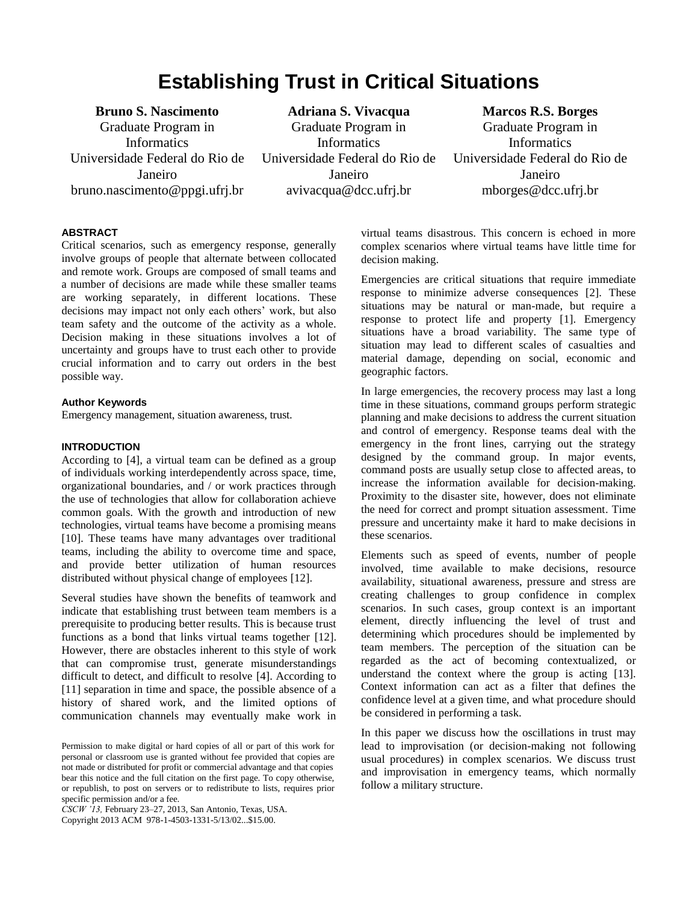# **Establishing Trust in Critical Situations**

**Bruno S. Nascimento** Graduate Program in **Informatics** Universidade Federal do Rio de Janeiro bruno.nascimento@ppgi.ufrj.br

**Adriana S. Vivacqua** Graduate Program in **Informatics** Universidade Federal do Rio de Janeiro avivacqua@dcc.ufrj.br

**Marcos R.S. Borges** Graduate Program in **Informatics** Universidade Federal do Rio de Janeiro mborges@dcc.ufrj.br

# **ABSTRACT**

Critical scenarios, such as emergency response, generally involve groups of people that alternate between collocated and remote work. Groups are composed of small teams and a number of decisions are made while these smaller teams are working separately, in different locations. These decisions may impact not only each others' work, but also team safety and the outcome of the activity as a whole. Decision making in these situations involves a lot of uncertainty and groups have to trust each other to provide crucial information and to carry out orders in the best possible way.

#### **Author Keywords**

Emergency management, situation awareness, trust.

#### **INTRODUCTION**

According to [\[4\]](#page-2-0), a virtual team can be defined as a group of individuals working interdependently across space, time, organizational boundaries, and / or work practices through the use of technologies that allow for collaboration achieve common goals. With the growth and introduction of new technologies, virtual teams have become a promising means [\[10\]](#page-2-1). These teams have many advantages over traditional teams, including the ability to overcome time and space, and provide better utilization of human resources distributed without physical change of employees [\[12\]](#page-2-2).

Several studies have shown the benefits of teamwork and indicate that establishing trust between team members is a prerequisite to producing better results. This is because trust functions as a bond that links virtual teams together [\[12\]](#page-2-2). However, there are obstacles inherent to this style of work that can compromise trust, generate misunderstandings difficult to detect, and difficult to resolve [\[4\]](#page-2-0). According to [\[11\]](#page-2-3) separation in time and space, the possible absence of a history of shared work, and the limited options of communication channels may eventually make work in

*CSCW '13,* February 23–27, 2013, San Antonio, Texas, USA.

Copyright 2013 ACM 978-1-4503-1331-5/13/02...\$15.00.

virtual teams disastrous. This concern is echoed in more complex scenarios where virtual teams have little time for decision making.

Emergencies are critical situations that require immediate response to minimize adverse consequences [\[2\]](#page-2-4). These situations may be natural or man-made, but require a response to protect life and property [\[1\]](#page-2-5). Emergency situations have a broad variability. The same type of situation may lead to different scales of casualties and material damage, depending on social, economic and geographic factors.

In large emergencies, the recovery process may last a long time in these situations, command groups perform strategic planning and make decisions to address the current situation and control of emergency. Response teams deal with the emergency in the front lines, carrying out the strategy designed by the command group. In major events, command posts are usually setup close to affected areas, to increase the information available for decision-making. Proximity to the disaster site, however, does not eliminate the need for correct and prompt situation assessment. Time pressure and uncertainty make it hard to make decisions in these scenarios.

Elements such as speed of events, number of people involved, time available to make decisions, resource availability, situational awareness, pressure and stress are creating challenges to group confidence in complex scenarios. In such cases, group context is an important element, directly influencing the level of trust and determining which procedures should be implemented by team members. The perception of the situation can be regarded as the act of becoming contextualized, or understand the context where the group is acting [\[13\]](#page-2-6). Context information can act as a filter that defines the confidence level at a given time, and what procedure should be considered in performing a task.

In this paper we discuss how the oscillations in trust may lead to improvisation (or decision-making not following usual procedures) in complex scenarios. We discuss trust and improvisation in emergency teams, which normally follow a military structure.

Permission to make digital or hard copies of all or part of this work for personal or classroom use is granted without fee provided that copies are not made or distributed for profit or commercial advantage and that copies bear this notice and the full citation on the first page. To copy otherwise, or republish, to post on servers or to redistribute to lists, requires prior specific permission and/or a fee.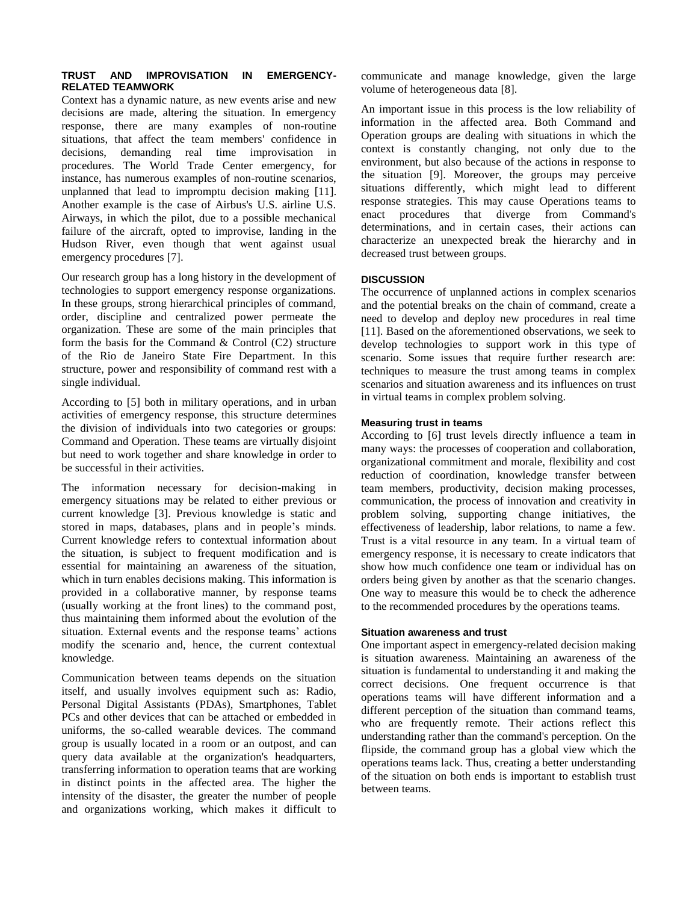## **TRUST AND IMPROVISATION IN EMERGENCY-RELATED TEAMWORK**

Context has a dynamic nature, as new events arise and new decisions are made, altering the situation. In emergency response, there are many examples of non-routine situations, that affect the team members' confidence in decisions, demanding real time improvisation in procedures. The World Trade Center emergency, for instance, has numerous examples of non-routine scenarios, unplanned that lead to impromptu decision making [\[11\]](#page-2-3). Another example is the case of Airbus's U.S. airline U.S. Airways, in which the pilot, due to a possible mechanical failure of the aircraft, opted to improvise, landing in the Hudson River, even though that went against usual emergency procedures [\[7\]](#page-2-7).

Our research group has a long history in the development of technologies to support emergency response organizations. In these groups, strong hierarchical principles of command, order, discipline and centralized power permeate the organization. These are some of the main principles that form the basis for the Command  $&$  Control (C2) structure of the Rio de Janeiro State Fire Department. In this structure, power and responsibility of command rest with a single individual.

According to [\[5\]](#page-2-8) both in military operations, and in urban activities of emergency response, this structure determines the division of individuals into two categories or groups: Command and Operation. These teams are virtually disjoint but need to work together and share knowledge in order to be successful in their activities.

The information necessary for decision-making in emergency situations may be related to either previous or current knowledge [\[3\]](#page-2-9). Previous knowledge is static and stored in maps, databases, plans and in people's minds. Current knowledge refers to contextual information about the situation, is subject to frequent modification and is essential for maintaining an awareness of the situation, which in turn enables decisions making. This information is provided in a collaborative manner, by response teams (usually working at the front lines) to the command post, thus maintaining them informed about the evolution of the situation. External events and the response teams' actions modify the scenario and, hence, the current contextual knowledge.

Communication between teams depends on the situation itself, and usually involves equipment such as: Radio, Personal Digital Assistants (PDAs), Smartphones, Tablet PCs and other devices that can be attached or embedded in uniforms, the so-called wearable devices. The command group is usually located in a room or an outpost, and can query data available at the organization's headquarters, transferring information to operation teams that are working in distinct points in the affected area. The higher the intensity of the disaster, the greater the number of people and organizations working, which makes it difficult to

communicate and manage knowledge, given the large volume of heterogeneous data [\[8\]](#page-2-10).

An important issue in this process is the low reliability of information in the affected area. Both Command and Operation groups are dealing with situations in which the context is constantly changing, not only due to the environment, but also because of the actions in response to the situation [\[9\]](#page-2-11). Moreover, the groups may perceive situations differently, which might lead to different response strategies. This may cause Operations teams to enact procedures that diverge from Command's determinations, and in certain cases, their actions can characterize an unexpected break the hierarchy and in decreased trust between groups.

# **DISCUSSION**

The occurrence of unplanned actions in complex scenarios and the potential breaks on the chain of command, create a need to develop and deploy new procedures in real time [\[11\]](#page-2-3). Based on the aforementioned observations, we seek to develop technologies to support work in this type of scenario. Some issues that require further research are: techniques to measure the trust among teams in complex scenarios and situation awareness and its influences on trust in virtual teams in complex problem solving.

#### **Measuring trust in teams**

According to [\[6\]](#page-2-12) trust levels directly influence a team in many ways: the processes of cooperation and collaboration, organizational commitment and morale, flexibility and cost reduction of coordination, knowledge transfer between team members, productivity, decision making processes, communication, the process of innovation and creativity in problem solving, supporting change initiatives, the effectiveness of leadership, labor relations, to name a few. Trust is a vital resource in any team. In a virtual team of emergency response, it is necessary to create indicators that show how much confidence one team or individual has on orders being given by another as that the scenario changes. One way to measure this would be to check the adherence to the recommended procedures by the operations teams.

#### **Situation awareness and trust**

One important aspect in emergency-related decision making is situation awareness. Maintaining an awareness of the situation is fundamental to understanding it and making the correct decisions. One frequent occurrence is that operations teams will have different information and a different perception of the situation than command teams, who are frequently remote. Their actions reflect this understanding rather than the command's perception. On the flipside, the command group has a global view which the operations teams lack. Thus, creating a better understanding of the situation on both ends is important to establish trust between teams.